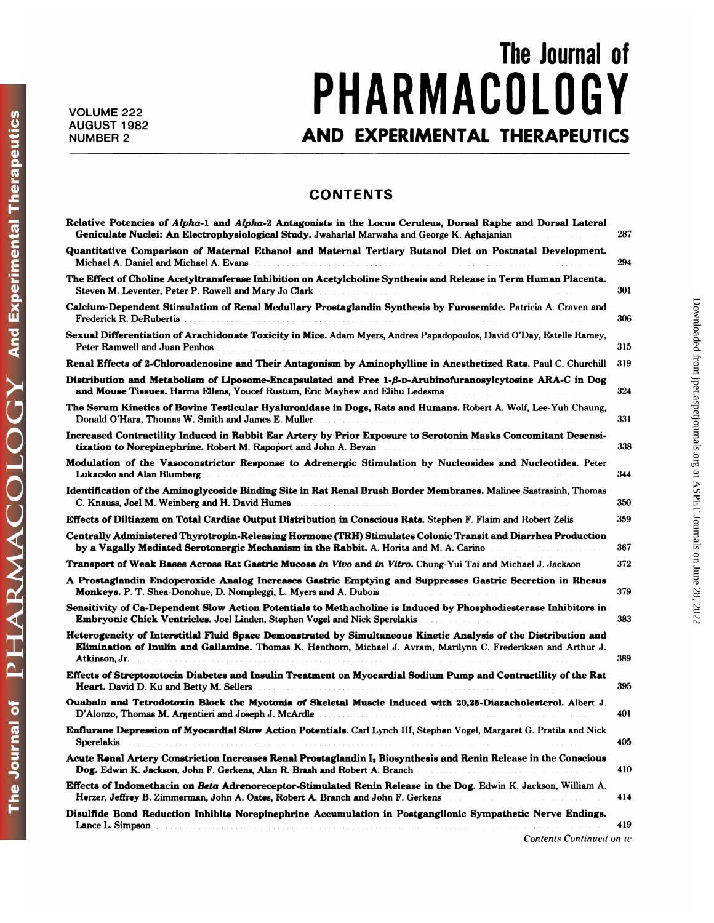**And Experimental Therapeutics** 

OGY

PHARMACOL

The Journal of

## The Journal of<br>**COLOGY** VOLUME 222 **PHARMACULUGY** The Journal of<br>
222<br>
AND EXPERIMENTAL THERAPEUTICS

## **CONTENTS**

| <b>CONTENTS</b>                                                                                                                                                                                                                                                                                                                                   |     |
|---------------------------------------------------------------------------------------------------------------------------------------------------------------------------------------------------------------------------------------------------------------------------------------------------------------------------------------------------|-----|
| Relative Potencies of Alpha-1 and Alpha-2 Antagonists in the Locus Ceruleus, Dorsal Raphe and Dorsal Lateral<br>Geniculate Nuclei: An Electrophysiological Study. Jwaharlal Marwaha and George K. Aghajanian                                                                                                                                      | 287 |
| Quantitative Comparison of Maternal Ethanol and Maternal Tertiary Butanol Diet on Postnatal Development.<br>Michael A. Daniel and Michael A. Evans                                                                                                                                                                                                | 294 |
| The Effect of Choline Acetyltransferase Inhibition on Acetylcholine Synthesis and Release in Term Human Placenta.<br>Steven M. Leventer, Peter P. Rowell and Mary Jo Clark                                                                                                                                                                        | 301 |
| Calcium-Dependent Stimulation of Renal Medullary Prostaglandin Synthesis by Furosemide. Patricia A. Craven and<br>Frederick R. DeRubertis                                                                                                                                                                                                         | 306 |
| Sexual Differentiation of Arachidonate Toxicity in Mice. Adam Myers, Andrea Papadopoulos, David O'Day, Estelle Ramey,<br>Peter Ramwell and Juan Penhos                                                                                                                                                                                            | 315 |
| Renal Effects of 2-Chloroadenosine and Their Antagonism by Aminophylline in Anesthetized Rats. Paul C. Churchill                                                                                                                                                                                                                                  | 319 |
| Distribution and Metabolism of Liposome-Encapsulated and Free 1-B-D-Arubinofuranosylcytosine ARA-C in Dog<br>and Mouse Tissues. Harma Ellens, Youcef Rustum, Eric Mayhew and Elihu Ledesma                                                                                                                                                        | 324 |
| The Serum Kinetics of Bovine Testicular Hyaluronidase in Dogs, Rats and Humans. Robert A. Wolf, Lee-Yuh Chaung,<br>Donald O'Hara, Thomas W. Smith and James E. Muller                                                                                                                                                                             | 331 |
| Increased Contractility Induced in Rabbit Ear Artery by Prior Exposure to Serotonin Masks Concomitant Desensi-<br>tization to Norepinephrine. Robert M. Rapoport and John A. Bevan                                                                                                                                                                | 338 |
| Modulation of the Vasoconstrictor Response to Adrenergic Stimulation by Nucleosides and Nucleotides. Peter<br>Lukacsko and Alan Blumberg                                                                                                                                                                                                          | 344 |
| Identification of the Aminoglycoside Binding Site in Rat Renal Brush Border Membranes. Malinee Sastrasinh, Thomas<br>C. Knauss, Joel M. Weinberg and H. David Humes <b>C. A. A. A. A. A. A. A. A. A. A. A. A.</b> A. M.                                                                                                                           | 350 |
| Effects of Diltiazem on Total Cardiac Output Distribution in Conscious Rats. Stephen F. Flaim and Robert Zelis                                                                                                                                                                                                                                    | 359 |
| Centrally Administered Thyrotropin-Releasing Hormone (TRH) Stimulates Colonic Transit and Diarrhea Production<br>by a Vagally Mediated Serotonergic Mechanism in the Rabbit. A. Horita and M. A. Carino<br>a construction and a construction                                                                                                      | 367 |
| Transport of Weak Bases Across Rat Gastric Mucosa in Vivo and in Vitro. Chung-Yui Tai and Michael J. Jackson                                                                                                                                                                                                                                      | 372 |
| A Prostaglandin Endoperoxide Analog Increases Gastric Emptying and Suppresses Gastric Secretion in Rhesus<br>Monkeys. P. T. Shea-Donohue, D. Nompleggi, L. Myers and A. Dubois                                                                                                                                                                    | 379 |
| Sensitivity of Ca-Dependent Slow Action Potentials to Methacholine is Induced by Phosphodiesterase Inhibitors in<br>Embryonic Chick Ventricles. Joel Linden, Stephen Vogel and Nick Sperelakis                                                                                                                                                    | 383 |
| Heterogeneity of Interstitial Fluid Space Demonstrated by Simultaneous Kinetic Analysis of the Distribution and<br>Elimination of Inulin and Gallamine. Thomas K. Henthorn, Michael J. Avram, Marilynn C. Frederiksen and Arthur J.                                                                                                               | 389 |
| Effects of Streptozotocin Diabetes and Insulin Treatment on Myocardial Sodium Pump and Contractility of the Rat<br>Heart. David D. Ku and Betty M. Sellers Mathematic Communication of the Communication of the Communication of the Communication of the Communication of the Communication of the Communication of the Communication of the Com | 395 |
| Ouabain and Tetrodotoxin Block the Myotonia of Skeletal Muscle Induced with 20,25-Diazacholesterol. Albert J.<br>D'Alonzo, Thomas M. Argentieri and Joseph J. McArdle                                                                                                                                                                             | 401 |
| Enflurane Depression of Myocardial Slow Action Potentials. Carl Lynch III, Stephen Vogel, Margaret G. Pratila and Nick<br><b>Sperelakis</b>                                                                                                                                                                                                       | 405 |
| Acute Renal Artery Constriction Increases Renal Prostaglandin I <sub>2</sub> Biosynthesis and Renin Release in the Conscious<br>Dog. Edwin K. Jackson, John F. Gerkens, Alan R. Brash and Robert A. Branch<br>the contract of the contract of the contract of the                                                                                 | 410 |
| Effects of Indomethacin on Beta Adrenoreceptor-Stimulated Renin Release in the Dog. Edwin K. Jackson, William A.<br>Herzer, Jeffrey B. Zimmerman, John A. Oates, Robert A. Branch and John F. Gerkens                                                                                                                                             | 414 |
| Disulfide Bond Reduction Inhibits Norepinephrine Accumulation in Postganglionic Sympathetic Nerve Endings.<br>Lance L. Simpson                                                                                                                                                                                                                    | 419 |